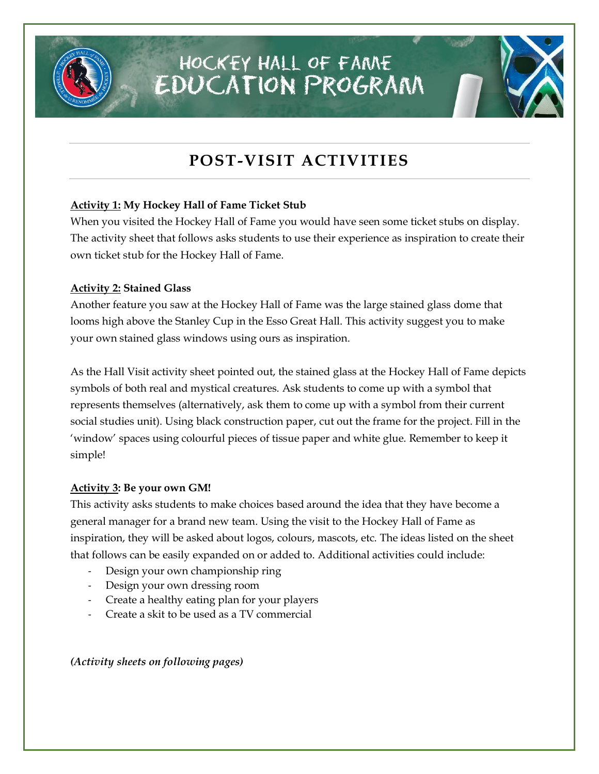

## HOCKEY HALL OF FAME EDUCATION PROGRAM

### **POST-VISIT ACTIVITIES**

#### **Activity 1: My Hockey Hall of Fame Ticket Stub**

When you visited the Hockey Hall of Fame you would have seen some ticket stubs on display. The activity sheet that follows asks students to use their experience as inspiration to create their own ticket stub for the Hockey Hall of Fame.

#### **Activity 2: Stained Glass**

Another feature you saw at the Hockey Hall of Fame was the large stained glass dome that looms high above the Stanley Cup in the Esso Great Hall. This activity suggest you to make your own stained glass windows using ours as inspiration.

As the Hall Visit activity sheet pointed out, the stained glass at the Hockey Hall of Fame depicts symbols of both real and mystical creatures. Ask students to come up with a symbol that represents themselves (alternatively, ask them to come up with a symbol from their current social studies unit). Using black construction paper, cut out the frame for the project. Fill in the 'window' spaces using colourful pieces of tissue paper and white glue. Remember to keep it simple!

#### **Activity 3: Be your own GM!**

This activity asks students to make choices based around the idea that they have become a general manager for a brand new team. Using the visit to the Hockey Hall of Fame as inspiration, they will be asked about logos, colours, mascots, etc. The ideas listed on the sheet that follows can be easily expanded on or added to. Additional activities could include:

- Design your own championship ring
- Design your own dressing room
- Create a healthy eating plan for your players
- Create a skit to be used as a TV commercial

*(Activity sheets on following pages)*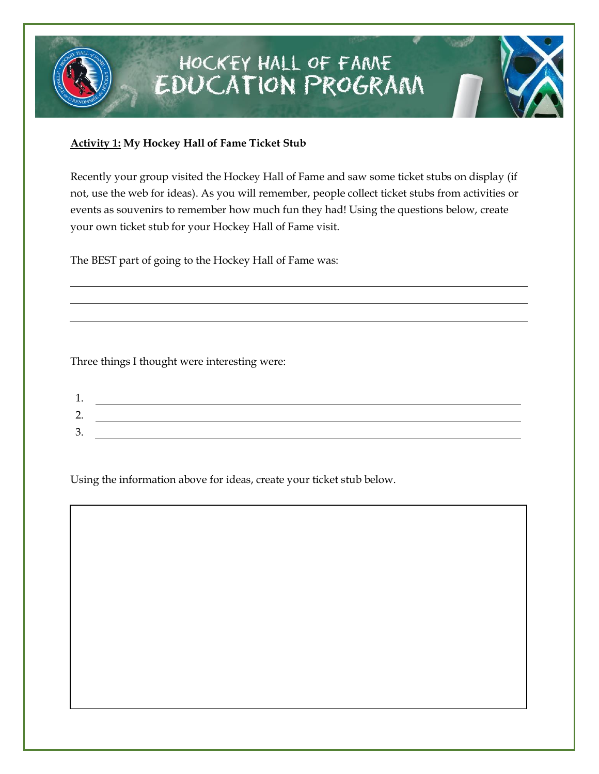

## HOCKEY HALL OF FAME **EDUCATION PROGRAM**

#### **Activity 1: My Hockey Hall of Fame Ticket Stub**

Recently your group visited the Hockey Hall of Fame and saw some ticket stubs on display (if not, use the web for ideas). As you will remember, people collect ticket stubs from activities or events as souvenirs to remember how much fun they had! Using the questions below, create your own ticket stub for your Hockey Hall of Fame visit.

The BEST part of going to the Hockey Hall of Fame was:

Three things I thought were interesting were:

| <u>.</u> |  |
|----------|--|
| ັ        |  |

Using the information above for ideas, create your ticket stub below.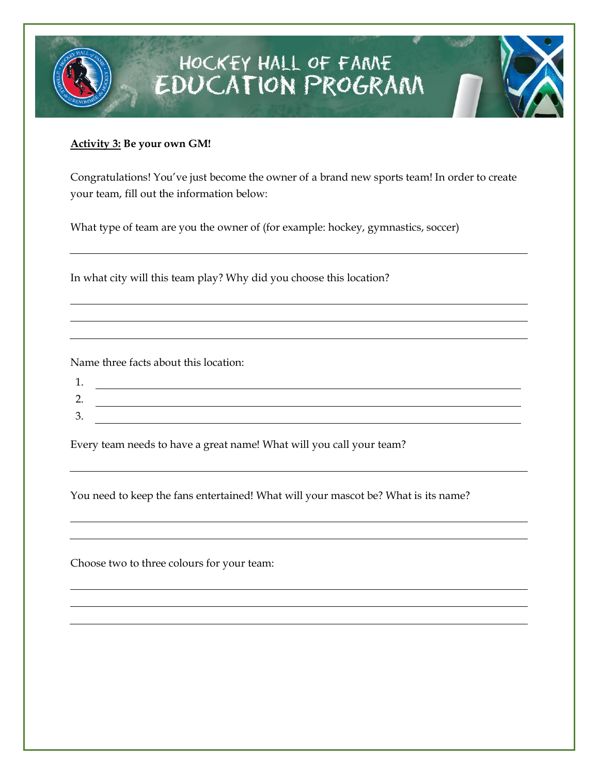## HOCKEY HALL OF FAME<br>EDUCATION PROGRAM

#### **Activity 3: Be your own GM!**

Congratulations! You've just become the owner of a brand new sports team! In order to create your team, fill out the information below:

What type of team are you the owner of (for example: hockey, gymnastics, soccer)

In what city will this team play? Why did you choose this location?

Name three facts about this location:

Every team needs to have a great name! What will you call your team?

You need to keep the fans entertained! What will your mascot be? What is its name?

Choose two to three colours for your team: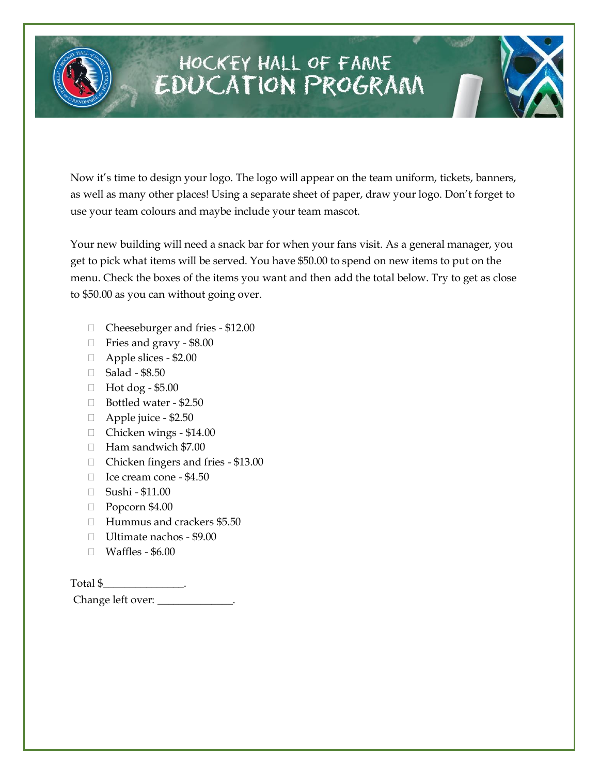

## HOCKEY HALL OF FAME **EDUCATION PROGRAM**

Now it's time to design your logo. The logo will appear on the team uniform, tickets, banners, as well as many other places! Using a separate sheet of paper, draw your logo. Don't forget to use your team colours and maybe include your team mascot.

Your new building will need a snack bar for when your fans visit. As a general manager, you get to pick what items will be served. You have \$50.00 to spend on new items to put on the menu. Check the boxes of the items you want and then add the total below. Try to get as close to \$50.00 as you can without going over.

- Cheeseburger and fries \$12.00
- □ Fries and gravy \$8.00
- Apple slices \$2.00
- □ Salad \$8.50
- Hot dog \$5.00
- Bottled water \$2.50
- $\Box$  Apple juice \$2.50
- Chicken wings \$14.00
- Ham sandwich \$7.00
- □ Chicken fingers and fries \$13.00
- □ Ice cream cone \$4.50
- Sushi \$11.00
- $\Box$  Popcorn \$4.00
- Hummus and crackers \$5.50
- □ Ultimate nachos \$9.00
- □ Waffles \$6.00

Total \$\_\_\_\_\_\_\_\_\_\_\_\_\_\_\_.

Change left over: